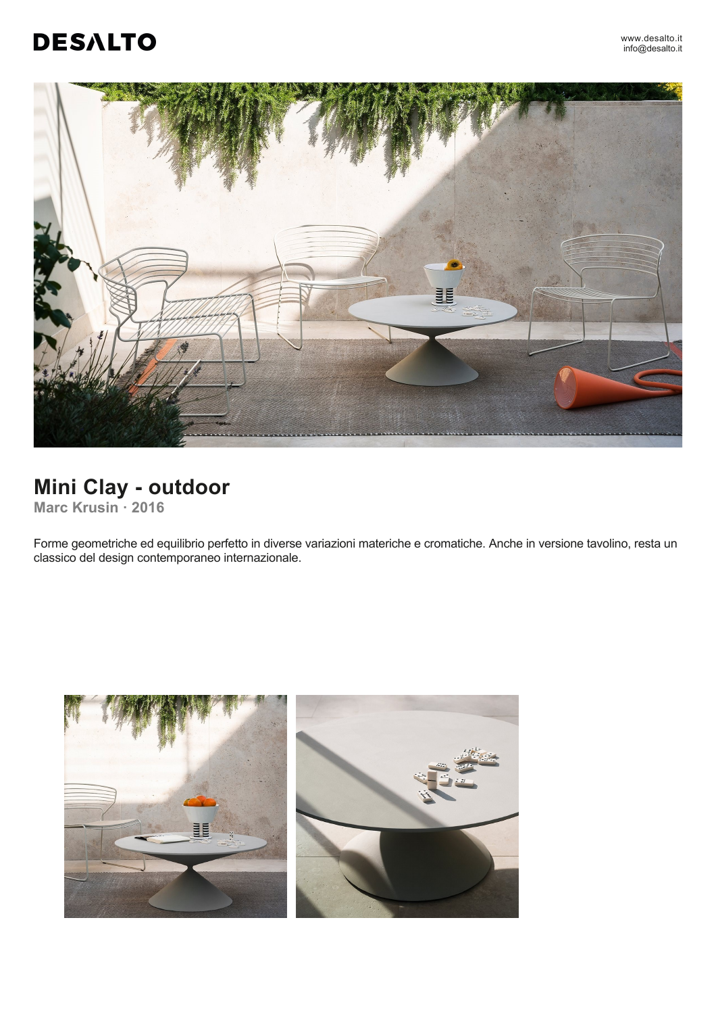# **DESALTO**



## **Mini Clay - outdoor**

**Marc Krusin ꞏ 2016**

Forme geometriche ed equilibrio perfetto in diverse variazioni materiche e cromatiche. Anche in versione tavolino, resta un classico del design contemporaneo internazionale.

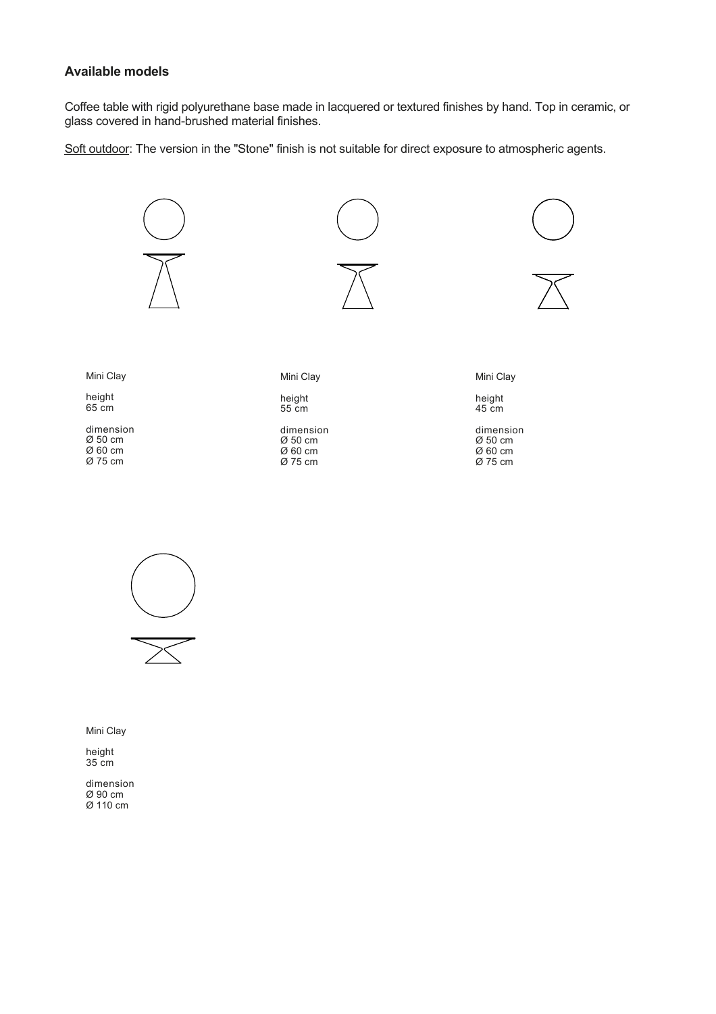#### **Available models**

Coffee table with rigid polyurethane base made in lacquered or textured finishes by hand. Top in ceramic, or glass covered in hand-brushed material finishes.

Soft outdoor: The version in the "Stone" finish is not suitable for direct exposure to atmospheric agents.





Mini Clay

height 35 cm

dimension Ø 90 cm Ø 110 cm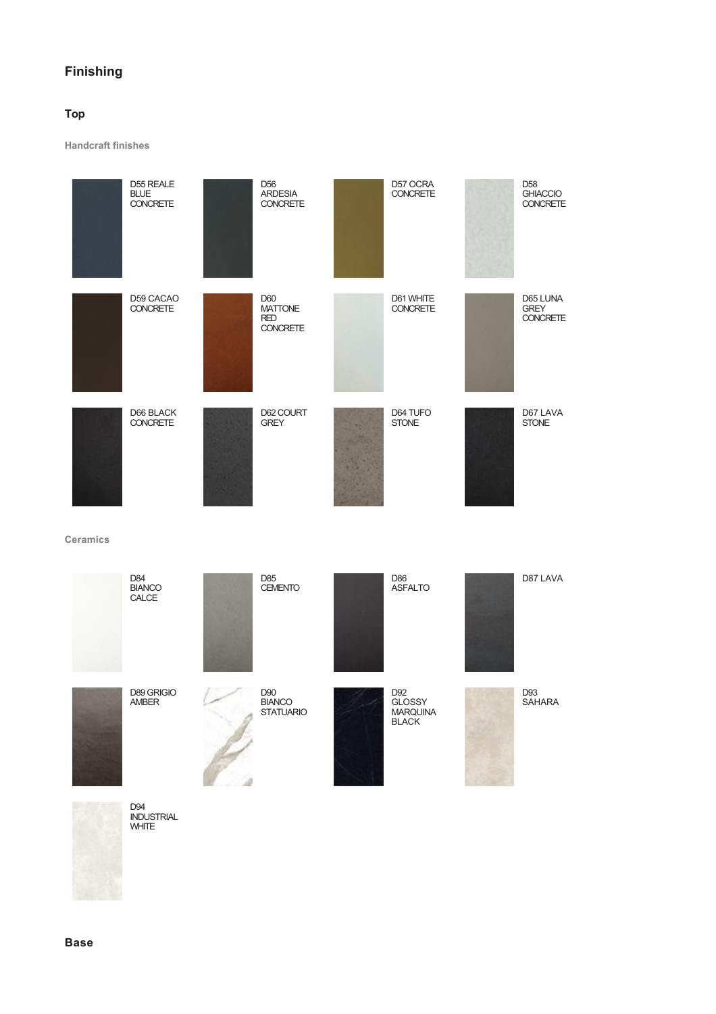### **Finishing**

#### **Top**

**Handcraft finishes**





D94 INDUSTRIAL WHITE

**Base**